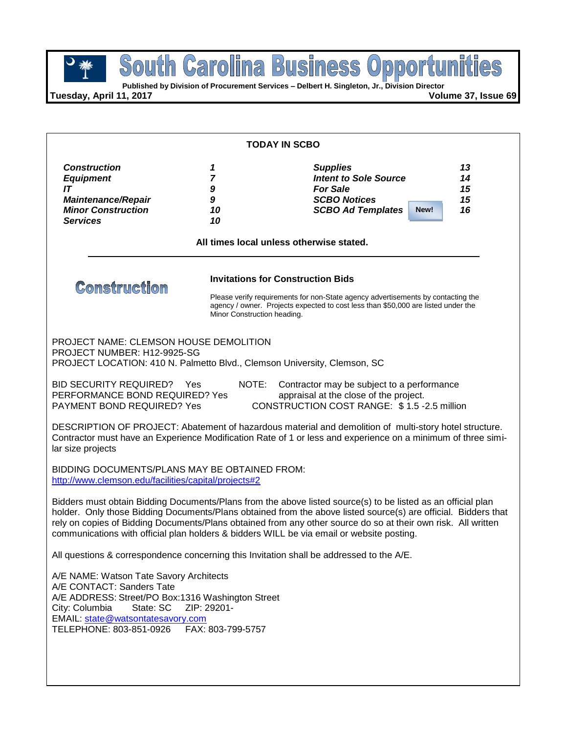**Published by Division of Procurement Services – Delbert H. Singleton, Jr., Division Director**

**Tuesday, April 11, 2017 Volume 37, Issue 69**

| <b>TODAY IN SCBO</b>                                                                                                                                                                                                                                                                                                                                                                                                                         |                                                                         |                                                                                                                                                                       |                                    |  |
|----------------------------------------------------------------------------------------------------------------------------------------------------------------------------------------------------------------------------------------------------------------------------------------------------------------------------------------------------------------------------------------------------------------------------------------------|-------------------------------------------------------------------------|-----------------------------------------------------------------------------------------------------------------------------------------------------------------------|------------------------------------|--|
| <b>Construction</b><br><b>Equipment</b><br>IT<br><b>Maintenance/Repair</b><br><b>Minor Construction</b><br><b>Services</b>                                                                                                                                                                                                                                                                                                                   | 1<br>7<br>9<br>9<br>10<br>10                                            | <b>Supplies</b><br><b>Intent to Sole Source</b><br><b>For Sale</b><br><b>SCBO Notices</b><br><b>SCBO Ad Templates</b>                                                 | 13<br>14<br>15<br>15<br>16<br>New! |  |
|                                                                                                                                                                                                                                                                                                                                                                                                                                              | All times local unless otherwise stated.                                |                                                                                                                                                                       |                                    |  |
| <b>Comstruction</b>                                                                                                                                                                                                                                                                                                                                                                                                                          | <b>Invitations for Construction Bids</b><br>Minor Construction heading. | Please verify requirements for non-State agency advertisements by contacting the<br>agency / owner. Projects expected to cost less than \$50,000 are listed under the |                                    |  |
| <b>PROJECT NAME: CLEMSON HOUSE DEMOLITION</b><br>PROJECT NUMBER: H12-9925-SG<br>PROJECT LOCATION: 410 N. Palmetto Blvd., Clemson University, Clemson, SC                                                                                                                                                                                                                                                                                     |                                                                         |                                                                                                                                                                       |                                    |  |
| <b>BID SECURITY REQUIRED?</b> Yes<br>NOTE:<br>Contractor may be subject to a performance<br>PERFORMANCE BOND REQUIRED? Yes<br>appraisal at the close of the project.<br>CONSTRUCTION COST RANGE: \$1.5-2.5 million<br><b>PAYMENT BOND REQUIRED? Yes</b>                                                                                                                                                                                      |                                                                         |                                                                                                                                                                       |                                    |  |
| DESCRIPTION OF PROJECT: Abatement of hazardous material and demolition of multi-story hotel structure.<br>Contractor must have an Experience Modification Rate of 1 or less and experience on a minimum of three simi-<br>lar size projects                                                                                                                                                                                                  |                                                                         |                                                                                                                                                                       |                                    |  |
| BIDDING DOCUMENTS/PLANS MAY BE OBTAINED FROM:<br>http://www.clemson.edu/facilities/capital/projects#2                                                                                                                                                                                                                                                                                                                                        |                                                                         |                                                                                                                                                                       |                                    |  |
| Bidders must obtain Bidding Documents/Plans from the above listed source(s) to be listed as an official plan<br>holder. Only those Bidding Documents/Plans obtained from the above listed source(s) are official. Bidders that<br>rely on copies of Bidding Documents/Plans obtained from any other source do so at their own risk. All written<br>communications with official plan holders & bidders WILL be via email or website posting. |                                                                         |                                                                                                                                                                       |                                    |  |
| All questions & correspondence concerning this Invitation shall be addressed to the A/E.                                                                                                                                                                                                                                                                                                                                                     |                                                                         |                                                                                                                                                                       |                                    |  |
| A/E NAME: Watson Tate Savory Architects<br>A/E CONTACT: Sanders Tate<br>A/E ADDRESS: Street/PO Box:1316 Washington Street<br>City: Columbia<br>State: SC<br>ZIP: 29201-<br>EMAIL: state@watsontatesavory.com<br>FAX: 803-799-5757<br>TELEPHONE: 803-851-0926                                                                                                                                                                                 |                                                                         |                                                                                                                                                                       |                                    |  |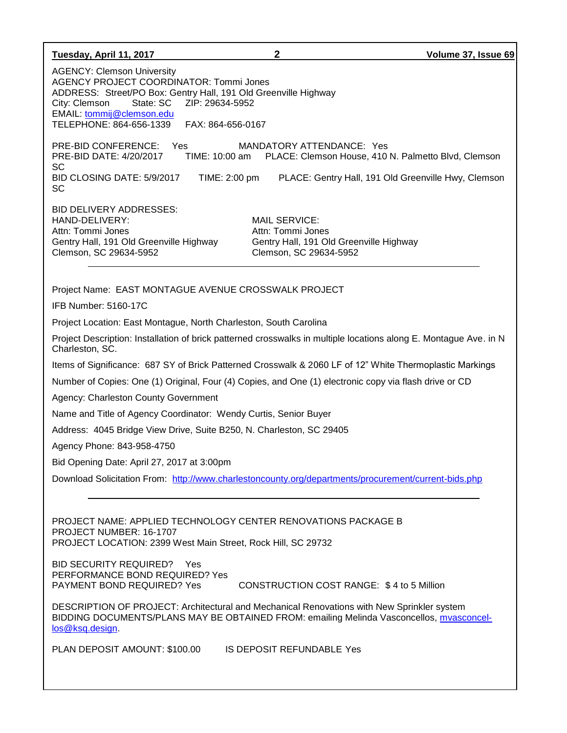| Tuesday, April 11, 2017                                                                                                                                                                                                                                                                                                                                                                                                                                    | $\mathbf{2}$                                                                                                                            | Volume 37, Issue 69 |  |
|------------------------------------------------------------------------------------------------------------------------------------------------------------------------------------------------------------------------------------------------------------------------------------------------------------------------------------------------------------------------------------------------------------------------------------------------------------|-----------------------------------------------------------------------------------------------------------------------------------------|---------------------|--|
| <b>AGENCY: Clemson University</b><br><b>AGENCY PROJECT COORDINATOR: Tommi Jones</b><br>ADDRESS: Street/PO Box: Gentry Hall, 191 Old Greenville Highway<br>ZIP: 29634-5952<br>City: Clemson<br>State: SC<br>EMAIL: tommij@clemson.edu<br>TELEPHONE: 864-656-1339<br>FAX: 864-656-0167                                                                                                                                                                       |                                                                                                                                         |                     |  |
| PRE-BID CONFERENCE: Yes<br>PRE-BID DATE: 4/20/2017<br>TIME: 10:00 am<br>SC<br>BID CLOSING DATE: 5/9/2017<br>TIME: 2:00 pm<br>SC                                                                                                                                                                                                                                                                                                                            | MANDATORY ATTENDANCE: Yes<br>PLACE: Clemson House, 410 N. Palmetto Blvd, Clemson<br>PLACE: Gentry Hall, 191 Old Greenville Hwy, Clemson |                     |  |
| <b>BID DELIVERY ADDRESSES:</b><br>HAND-DELIVERY:<br>Attn: Tommi Jones<br>Gentry Hall, 191 Old Greenville Highway<br>Clemson, SC 29634-5952                                                                                                                                                                                                                                                                                                                 | <b>MAIL SERVICE:</b><br>Attn: Tommi Jones<br>Gentry Hall, 191 Old Greenville Highway<br>Clemson, SC 29634-5952                          |                     |  |
| Project Name: EAST MONTAGUE AVENUE CROSSWALK PROJECT                                                                                                                                                                                                                                                                                                                                                                                                       |                                                                                                                                         |                     |  |
| IFB Number: 5160-17C                                                                                                                                                                                                                                                                                                                                                                                                                                       |                                                                                                                                         |                     |  |
| Project Location: East Montague, North Charleston, South Carolina                                                                                                                                                                                                                                                                                                                                                                                          |                                                                                                                                         |                     |  |
| Project Description: Installation of brick patterned crosswalks in multiple locations along E. Montague Ave. in N<br>Charleston, SC.                                                                                                                                                                                                                                                                                                                       |                                                                                                                                         |                     |  |
| Items of Significance: 687 SY of Brick Patterned Crosswalk & 2060 LF of 12" White Thermoplastic Markings                                                                                                                                                                                                                                                                                                                                                   |                                                                                                                                         |                     |  |
| Number of Copies: One (1) Original, Four (4) Copies, and One (1) electronic copy via flash drive or CD                                                                                                                                                                                                                                                                                                                                                     |                                                                                                                                         |                     |  |
| Agency: Charleston County Government                                                                                                                                                                                                                                                                                                                                                                                                                       |                                                                                                                                         |                     |  |
| Name and Title of Agency Coordinator: Wendy Curtis, Senior Buyer                                                                                                                                                                                                                                                                                                                                                                                           |                                                                                                                                         |                     |  |
| Address: 4045 Bridge View Drive, Suite B250, N. Charleston, SC 29405                                                                                                                                                                                                                                                                                                                                                                                       |                                                                                                                                         |                     |  |
| Agency Phone: 843-958-4750                                                                                                                                                                                                                                                                                                                                                                                                                                 |                                                                                                                                         |                     |  |
| Bid Opening Date: April 27, 2017 at 3:00pm                                                                                                                                                                                                                                                                                                                                                                                                                 |                                                                                                                                         |                     |  |
| Download Solicitation From: http://www.charlestoncounty.org/departments/procurement/current-bids.php                                                                                                                                                                                                                                                                                                                                                       |                                                                                                                                         |                     |  |
| PROJECT NAME: APPLIED TECHNOLOGY CENTER RENOVATIONS PACKAGE B<br>PROJECT NUMBER: 16-1707<br>PROJECT LOCATION: 2399 West Main Street, Rock Hill, SC 29732<br><b>BID SECURITY REQUIRED?</b><br>Yes<br>PERFORMANCE BOND REQUIRED? Yes<br>PAYMENT BOND REQUIRED? Yes<br>DESCRIPTION OF PROJECT: Architectural and Mechanical Renovations with New Sprinkler system<br>BIDDING DOCUMENTS/PLANS MAY BE OBTAINED FROM: emailing Melinda Vasconcellos, mvasconcel- | CONSTRUCTION COST RANGE: \$4 to 5 Million                                                                                               |                     |  |
| los@ksq.design                                                                                                                                                                                                                                                                                                                                                                                                                                             |                                                                                                                                         |                     |  |
| PLAN DEPOSIT AMOUNT: \$100.00                                                                                                                                                                                                                                                                                                                                                                                                                              | <b>IS DEPOSIT REFUNDABLE Yes</b>                                                                                                        |                     |  |
|                                                                                                                                                                                                                                                                                                                                                                                                                                                            |                                                                                                                                         |                     |  |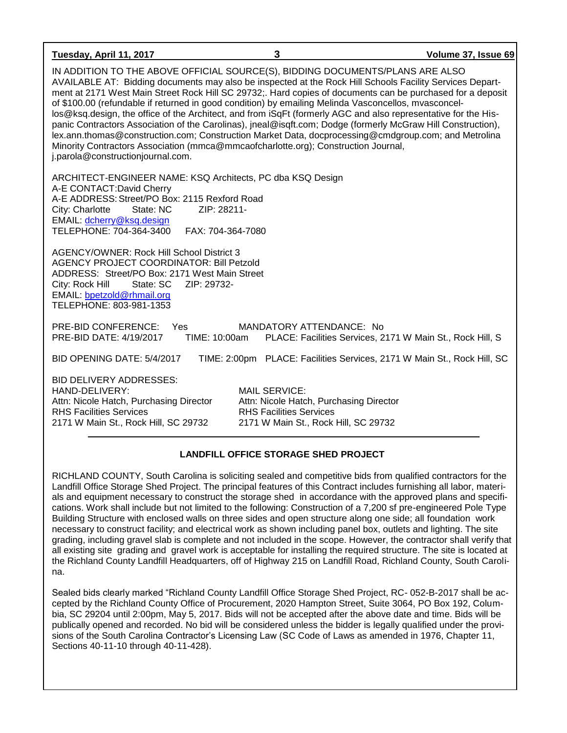| Tuesday, April 11, 2017                                                                                                                                                                                                                                                                                                                                                                                                                                                                                                                                                                                                                                                                                                                                                                                                                                                              | 3                                                                                                                                         | Volume 37, Issue 69                                                     |
|--------------------------------------------------------------------------------------------------------------------------------------------------------------------------------------------------------------------------------------------------------------------------------------------------------------------------------------------------------------------------------------------------------------------------------------------------------------------------------------------------------------------------------------------------------------------------------------------------------------------------------------------------------------------------------------------------------------------------------------------------------------------------------------------------------------------------------------------------------------------------------------|-------------------------------------------------------------------------------------------------------------------------------------------|-------------------------------------------------------------------------|
| IN ADDITION TO THE ABOVE OFFICIAL SOURCE(S), BIDDING DOCUMENTS/PLANS ARE ALSO<br>AVAILABLE AT: Bidding documents may also be inspected at the Rock Hill Schools Facility Services Depart-<br>ment at 2171 West Main Street Rock Hill SC 29732;. Hard copies of documents can be purchased for a deposit<br>of \$100.00 (refundable if returned in good condition) by emailing Melinda Vasconcellos, mvasconcel-<br>los@ksq.design, the office of the Architect, and from iSqFt (formerly AGC and also representative for the His-<br>panic Contractors Association of the Carolinas), jneal@isqft.com; Dodge (formerly McGraw Hill Construction),<br>lex.ann.thomas@construction.com; Construction Market Data, docprocessing@cmdgroup.com; and Metrolina<br>Minority Contractors Association (mmca@mmcaofcharlotte.org); Construction Journal,<br>j.parola@constructionjournal.com. |                                                                                                                                           |                                                                         |
| ARCHITECT-ENGINEER NAME: KSQ Architects, PC dba KSQ Design<br>A-E CONTACT: David Cherry<br>A-E ADDRESS: Street/PO Box: 2115 Rexford Road<br>State: NC<br>ZIP: 28211-<br>City: Charlotte<br>EMAIL: dcherry@ksq.design<br>TELEPHONE: 704-364-3400<br>FAX: 704-364-7080                                                                                                                                                                                                                                                                                                                                                                                                                                                                                                                                                                                                                 |                                                                                                                                           |                                                                         |
| AGENCY/OWNER: Rock Hill School District 3<br><b>AGENCY PROJECT COORDINATOR: Bill Petzold</b><br>ADDRESS: Street/PO Box: 2171 West Main Street<br>City: Rock Hill<br>State: SC<br>ZIP: 29732-<br>EMAIL: bpetzold@rhmail.org<br>TELEPHONE: 803-981-1353                                                                                                                                                                                                                                                                                                                                                                                                                                                                                                                                                                                                                                |                                                                                                                                           |                                                                         |
| PRE-BID CONFERENCE:<br>Yes<br>PRE-BID DATE: 4/19/2017<br>TIME: 10:00am                                                                                                                                                                                                                                                                                                                                                                                                                                                                                                                                                                                                                                                                                                                                                                                                               | MANDATORY ATTENDANCE: No                                                                                                                  | PLACE: Facilities Services, 2171 W Main St., Rock Hill, S               |
| BID OPENING DATE: 5/4/2017                                                                                                                                                                                                                                                                                                                                                                                                                                                                                                                                                                                                                                                                                                                                                                                                                                                           |                                                                                                                                           | TIME: 2:00pm PLACE: Facilities Services, 2171 W Main St., Rock Hill, SC |
| <b>BID DELIVERY ADDRESSES:</b><br>HAND-DELIVERY:<br>Attn: Nicole Hatch, Purchasing Director<br><b>RHS Facilities Services</b><br>2171 W Main St., Rock Hill, SC 29732                                                                                                                                                                                                                                                                                                                                                                                                                                                                                                                                                                                                                                                                                                                | <b>MAIL SERVICE:</b><br>Attn: Nicole Hatch, Purchasing Director<br><b>RHS Facilities Services</b><br>2171 W Main St., Rock Hill, SC 29732 |                                                                         |

### **LANDFILL OFFICE STORAGE SHED PROJECT**

RICHLAND COUNTY, South Carolina is soliciting sealed and competitive bids from qualified contractors for the Landfill Office Storage Shed Project. The principal features of this Contract includes furnishing all labor, materials and equipment necessary to construct the storage shed in accordance with the approved plans and specifications. Work shall include but not limited to the following: Construction of a 7,200 sf pre-engineered Pole Type Building Structure with enclosed walls on three sides and open structure along one side; all foundation work necessary to construct facility; and electrical work as shown including panel box, outlets and lighting. The site grading, including gravel slab is complete and not included in the scope. However, the contractor shall verify that all existing site grading and gravel work is acceptable for installing the required structure. The site is located at the Richland County Landfill Headquarters, off of Highway 215 on Landfill Road, Richland County, South Carolina.

Sealed bids clearly marked "Richland County Landfill Office Storage Shed Project, RC- 052-B-2017 shall be accepted by the Richland County Office of Procurement, 2020 Hampton Street, Suite 3064, PO Box 192, Columbia, SC 29204 until 2:00pm, May 5, 2017. Bids will not be accepted after the above date and time. Bids will be publically opened and recorded. No bid will be considered unless the bidder is legally qualified under the provisions of the South Carolina Contractor's Licensing Law (SC Code of Laws as amended in 1976, Chapter 11, Sections 40-11-10 through 40-11-428).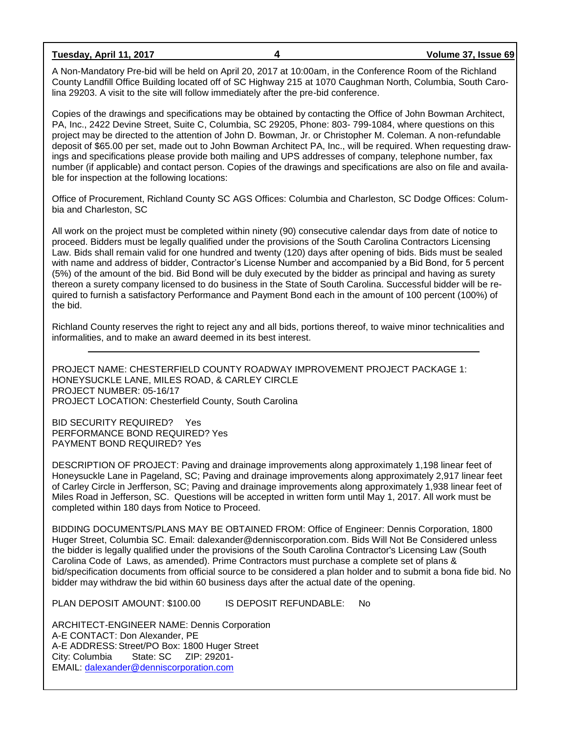**Tuesday, April 11, 2017 4 Volume 37, Issue 69**

A Non-Mandatory Pre-bid will be held on April 20, 2017 at 10:00am, in the Conference Room of the Richland County Landfill Office Building located off of SC Highway 215 at 1070 Caughman North, Columbia, South Carolina 29203. A visit to the site will follow immediately after the pre-bid conference.

Copies of the drawings and specifications may be obtained by contacting the Office of John Bowman Architect, PA, Inc., 2422 Devine Street, Suite C, Columbia, SC 29205, Phone: 803- 799-1084, where questions on this project may be directed to the attention of John D. Bowman, Jr. or Christopher M. Coleman. A non-refundable deposit of \$65.00 per set, made out to John Bowman Architect PA, Inc., will be required. When requesting drawings and specifications please provide both mailing and UPS addresses of company, telephone number, fax number (if applicable) and contact person. Copies of the drawings and specifications are also on file and available for inspection at the following locations:

Office of Procurement, Richland County SC AGS Offices: Columbia and Charleston, SC Dodge Offices: Columbia and Charleston, SC

All work on the project must be completed within ninety (90) consecutive calendar days from date of notice to proceed. Bidders must be legally qualified under the provisions of the South Carolina Contractors Licensing Law. Bids shall remain valid for one hundred and twenty (120) days after opening of bids. Bids must be sealed with name and address of bidder, Contractor's License Number and accompanied by a Bid Bond, for 5 percent (5%) of the amount of the bid. Bid Bond will be duly executed by the bidder as principal and having as surety thereon a surety company licensed to do business in the State of South Carolina. Successful bidder will be required to furnish a satisfactory Performance and Payment Bond each in the amount of 100 percent (100%) of the bid.

Richland County reserves the right to reject any and all bids, portions thereof, to waive minor technicalities and informalities, and to make an award deemed in its best interest.

PROJECT NAME: CHESTERFIELD COUNTY ROADWAY IMPROVEMENT PROJECT PACKAGE 1: HONEYSUCKLE LANE, MILES ROAD, & CARLEY CIRCLE PROJECT NUMBER: 05-16/17 PROJECT LOCATION: Chesterfield County, South Carolina

BID SECURITY REQUIRED? Yes PERFORMANCE BOND REQUIRED? Yes PAYMENT BOND REQUIRED? Yes

DESCRIPTION OF PROJECT: Paving and drainage improvements along approximately 1,198 linear feet of Honeysuckle Lane in Pageland, SC; Paving and drainage improvements along approximately 2,917 linear feet of Carley Circle in Jerfferson, SC; Paving and drainage improvements along approximately 1,938 linear feet of Miles Road in Jefferson, SC. Questions will be accepted in written form until May 1, 2017. All work must be completed within 180 days from Notice to Proceed.

BIDDING DOCUMENTS/PLANS MAY BE OBTAINED FROM: Office of Engineer: Dennis Corporation, 1800 Huger Street, Columbia SC. Email: dalexander@denniscorporation.com. Bids Will Not Be Considered unless the bidder is legally qualified under the provisions of the South Carolina Contractor's Licensing Law (South Carolina Code of Laws, as amended). Prime Contractors must purchase a complete set of plans & bid/specification documents from official source to be considered a plan holder and to submit a bona fide bid. No bidder may withdraw the bid within 60 business days after the actual date of the opening.

PLAN DEPOSIT AMOUNT: \$100.00 IS DEPOSIT REFUNDABLE: No

ARCHITECT-ENGINEER NAME: Dennis Corporation A-E CONTACT: Don Alexander, PE A-E ADDRESS: Street/PO Box: 1800 Huger Street City: Columbia State: SC ZIP: 29201- EMAIL: [dalexander@denniscorporation.com](mailto:dalexander@denniscorporation.com)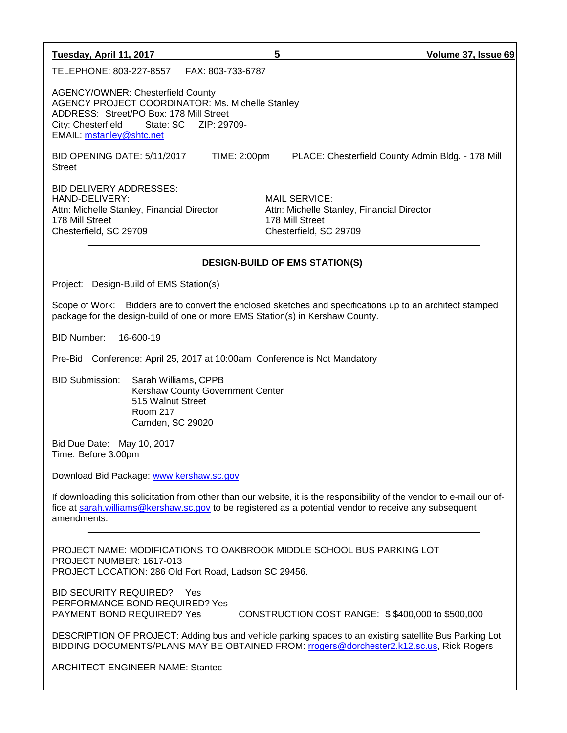| Tuesday, April 11, 2017                                                                                                                                                                                         |                   | 5                                                                                                        | Volume 37, Issue 69                               |
|-----------------------------------------------------------------------------------------------------------------------------------------------------------------------------------------------------------------|-------------------|----------------------------------------------------------------------------------------------------------|---------------------------------------------------|
| TELEPHONE: 803-227-8557                                                                                                                                                                                         | FAX: 803-733-6787 |                                                                                                          |                                                   |
| <b>AGENCY/OWNER: Chesterfield County</b><br>AGENCY PROJECT COORDINATOR: Ms. Michelle Stanley<br>ADDRESS: Street/PO Box: 178 Mill Street<br>City: Chesterfield State: SC ZIP: 29709-<br>EMAIL: mstanley@shtc.net |                   |                                                                                                          |                                                   |
| BID OPENING DATE: 5/11/2017<br><b>Street</b>                                                                                                                                                                    | TIME: 2:00pm      |                                                                                                          | PLACE: Chesterfield County Admin Bldg. - 178 Mill |
| BID DELIVERY ADDRESSES:<br>HAND-DELIVERY:<br>Attn: Michelle Stanley, Financial Director<br>178 Mill Street<br>Chesterfield, SC 29709                                                                            |                   | MAIL SERVICE:<br>Attn: Michelle Stanley, Financial Director<br>178 Mill Street<br>Chesterfield, SC 29709 |                                                   |
| <b>DESIGN-BUILD OF EMS STATION(S)</b>                                                                                                                                                                           |                   |                                                                                                          |                                                   |

Project: Design-Build of EMS Station(s)

Scope of Work: Bidders are to convert the enclosed sketches and specifications up to an architect stamped package for the design-build of one or more EMS Station(s) in Kershaw County.

BID Number: 16-600-19

Pre-Bid Conference: April 25, 2017 at 10:00am Conference is Not Mandatory

BID Submission: Sarah Williams, CPPB Kershaw County Government Center 515 Walnut Street Room 217 Camden, SC 29020

Bid Due Date: May 10, 2017 Time: Before 3:00pm

Download Bid Package: [www.kershaw.sc.gov](http://www.kershaw.sc.gov/)

If downloading this solicitation from other than our website, it is the responsibility of the vendor to e-mail our office at [sarah.williams@kershaw.sc.gov](mailto:sarah.williams@kershaw.sc.gov) to be registered as a potential vendor to receive any subsequent amendments.

PROJECT NAME: MODIFICATIONS TO OAKBROOK MIDDLE SCHOOL BUS PARKING LOT PROJECT NUMBER: 1617-013 PROJECT LOCATION: 286 Old Fort Road, Ladson SC 29456.

BID SECURITY REQUIRED? Yes PERFORMANCE BOND REQUIRED? Yes

PAYMENT BOND REQUIRED? Yes CONSTRUCTION COST RANGE: \$\$400,000 to \$500,000

DESCRIPTION OF PROJECT: Adding bus and vehicle parking spaces to an existing satellite Bus Parking Lot BIDDING DOCUMENTS/PLANS MAY BE OBTAINED FROM: [rrogers@dorchester2.k12.sc.us,](mailto:rrogers@dorchester2.k12.sc.us) Rick Rogers

ARCHITECT-ENGINEER NAME: Stantec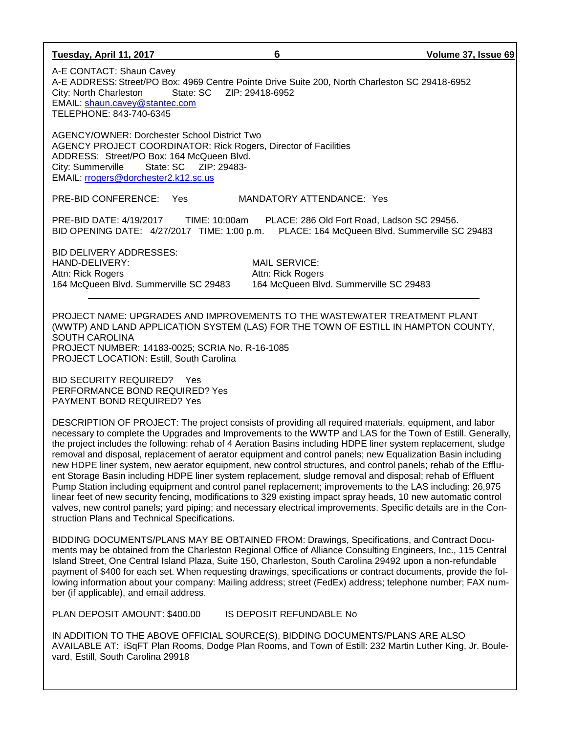| Tuesday, April 11, 2017                                                                                                                                                                                                                                                                                                                                                                                                                                                                                                                                                                                                                                                                                                                                                                                                                                                                                                                                                                                                                                                                  | 6                                                                                   | Volume 37, Issue 69                                                                         |
|------------------------------------------------------------------------------------------------------------------------------------------------------------------------------------------------------------------------------------------------------------------------------------------------------------------------------------------------------------------------------------------------------------------------------------------------------------------------------------------------------------------------------------------------------------------------------------------------------------------------------------------------------------------------------------------------------------------------------------------------------------------------------------------------------------------------------------------------------------------------------------------------------------------------------------------------------------------------------------------------------------------------------------------------------------------------------------------|-------------------------------------------------------------------------------------|---------------------------------------------------------------------------------------------|
| A-E CONTACT: Shaun Cavey<br>A-E ADDRESS: Street/PO Box: 4969 Centre Pointe Drive Suite 200, North Charleston SC 29418-6952<br>State: SC<br>City: North Charleston<br>EMAIL: shaun.cavey@stantec.com<br>TELEPHONE: 843-740-6345                                                                                                                                                                                                                                                                                                                                                                                                                                                                                                                                                                                                                                                                                                                                                                                                                                                           | ZIP: 29418-6952                                                                     |                                                                                             |
| <b>AGENCY/OWNER: Dorchester School District Two</b><br>AGENCY PROJECT COORDINATOR: Rick Rogers, Director of Facilities<br>ADDRESS: Street/PO Box: 164 McQueen Blvd.<br>City: Summerville<br>EMAIL: rrogers@dorchester2.k12.sc.us                                                                                                                                                                                                                                                                                                                                                                                                                                                                                                                                                                                                                                                                                                                                                                                                                                                         |                                                                                     |                                                                                             |
| PRE-BID CONFERENCE: Yes                                                                                                                                                                                                                                                                                                                                                                                                                                                                                                                                                                                                                                                                                                                                                                                                                                                                                                                                                                                                                                                                  | MANDATORY ATTENDANCE: Yes                                                           |                                                                                             |
| PRE-BID DATE: 4/19/2017<br>TIME: 10:00am<br>BID OPENING DATE: 4/27/2017 TIME: 1:00 p.m.                                                                                                                                                                                                                                                                                                                                                                                                                                                                                                                                                                                                                                                                                                                                                                                                                                                                                                                                                                                                  |                                                                                     | PLACE: 286 Old Fort Road, Ladson SC 29456.<br>PLACE: 164 McQueen Blvd. Summerville SC 29483 |
| <b>BID DELIVERY ADDRESSES:</b><br>HAND-DELIVERY:<br>Attn: Rick Rogers<br>164 McQueen Blvd. Summerville SC 29483                                                                                                                                                                                                                                                                                                                                                                                                                                                                                                                                                                                                                                                                                                                                                                                                                                                                                                                                                                          | <b>MAIL SERVICE:</b><br>Attn: Rick Rogers<br>164 McQueen Blvd. Summerville SC 29483 |                                                                                             |
| PROJECT NAME: UPGRADES AND IMPROVEMENTS TO THE WASTEWATER TREATMENT PLANT<br>(WWTP) AND LAND APPLICATION SYSTEM (LAS) FOR THE TOWN OF ESTILL IN HAMPTON COUNTY,<br><b>SOUTH CAROLINA</b><br>PROJECT NUMBER: 14183-0025; SCRIA No. R-16-1085<br>PROJECT LOCATION: Estill, South Carolina                                                                                                                                                                                                                                                                                                                                                                                                                                                                                                                                                                                                                                                                                                                                                                                                  |                                                                                     |                                                                                             |
| <b>BID SECURITY REQUIRED?</b><br>Yes<br>PERFORMANCE BOND REQUIRED? Yes<br>PAYMENT BOND REQUIRED? Yes                                                                                                                                                                                                                                                                                                                                                                                                                                                                                                                                                                                                                                                                                                                                                                                                                                                                                                                                                                                     |                                                                                     |                                                                                             |
| DESCRIPTION OF PROJECT: The project consists of providing all required materials, equipment, and labor<br>necessary to complete the Upgrades and Improvements to the WWTP and LAS for the Town of Estill. Generally,<br>the project includes the following: rehab of 4 Aeration Basins including HDPE liner system replacement, sludge<br>removal and disposal, replacement of aerator equipment and control panels; new Equalization Basin including<br>new HDPE liner system, new aerator equipment, new control structures, and control panels; rehab of the Efflu-<br>ent Storage Basin including HDPE liner system replacement, sludge removal and disposal; rehab of Effluent<br>Pump Station including equipment and control panel replacement; improvements to the LAS including: 26,975<br>linear feet of new security fencing, modifications to 329 existing impact spray heads, 10 new automatic control<br>valves, new control panels; yard piping; and necessary electrical improvements. Specific details are in the Con-<br>struction Plans and Technical Specifications. |                                                                                     |                                                                                             |
| BIDDING DOCUMENTS/PLANS MAY BE OBTAINED FROM: Drawings, Specifications, and Contract Docu-<br>ments may be obtained from the Charleston Regional Office of Alliance Consulting Engineers, Inc., 115 Central<br>Island Street, One Central Island Plaza, Suite 150, Charleston, South Carolina 29492 upon a non-refundable<br>payment of \$400 for each set. When requesting drawings, specifications or contract documents, provide the fol-<br>lowing information about your company: Mailing address; street (FedEx) address; telephone number; FAX num-<br>ber (if applicable), and email address.                                                                                                                                                                                                                                                                                                                                                                                                                                                                                    |                                                                                     |                                                                                             |
| PLAN DEPOSIT AMOUNT: \$400.00                                                                                                                                                                                                                                                                                                                                                                                                                                                                                                                                                                                                                                                                                                                                                                                                                                                                                                                                                                                                                                                            | IS DEPOSIT REFUNDABLE No                                                            |                                                                                             |
| IN ADDITION TO THE ABOVE OFFICIAL SOURCE(S), BIDDING DOCUMENTS/PLANS ARE ALSO<br>AVAILABLE AT: iSqFT Plan Rooms, Dodge Plan Rooms, and Town of Estill: 232 Martin Luther King, Jr. Boule-<br>vard, Estill, South Carolina 29918                                                                                                                                                                                                                                                                                                                                                                                                                                                                                                                                                                                                                                                                                                                                                                                                                                                          |                                                                                     |                                                                                             |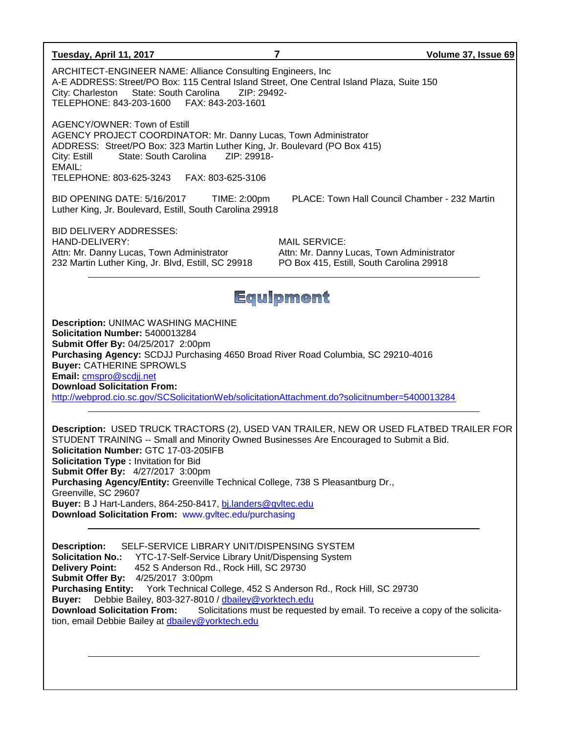| Tuesday, April 11, 2017                                                                                                                                                                                                                                                                                                                                                                                                                                                                                                                                                                                | 7                                                                                                             | Volume 37, Issue 69 |  |  |
|--------------------------------------------------------------------------------------------------------------------------------------------------------------------------------------------------------------------------------------------------------------------------------------------------------------------------------------------------------------------------------------------------------------------------------------------------------------------------------------------------------------------------------------------------------------------------------------------------------|---------------------------------------------------------------------------------------------------------------|---------------------|--|--|
| ARCHITECT-ENGINEER NAME: Alliance Consulting Engineers, Inc.<br>A-E ADDRESS: Street/PO Box: 115 Central Island Street, One Central Island Plaza, Suite 150<br>State: South Carolina<br>ZIP: 29492-<br>City: Charleston<br>TELEPHONE: 843-203-1600    FAX: 843-203-1601                                                                                                                                                                                                                                                                                                                                 |                                                                                                               |                     |  |  |
| AGENCY/OWNER: Town of Estill<br>AGENCY PROJECT COORDINATOR: Mr. Danny Lucas, Town Administrator<br>ADDRESS: Street/PO Box: 323 Martin Luther King, Jr. Boulevard (PO Box 415)<br>ZIP: 29918-<br>State: South Carolina<br>City: Estill<br>EMAIL:<br>TELEPHONE: 803-625-3243<br>FAX: 803-625-3106                                                                                                                                                                                                                                                                                                        |                                                                                                               |                     |  |  |
| BID OPENING DATE: 5/16/2017<br>TIME: 2:00pm<br>Luther King, Jr. Boulevard, Estill, South Carolina 29918                                                                                                                                                                                                                                                                                                                                                                                                                                                                                                | PLACE: Town Hall Council Chamber - 232 Martin                                                                 |                     |  |  |
| <b>BID DELIVERY ADDRESSES:</b><br>HAND-DELIVERY:<br>Attn: Mr. Danny Lucas, Town Administrator<br>232 Martin Luther King, Jr. Blvd, Estill, SC 29918                                                                                                                                                                                                                                                                                                                                                                                                                                                    | <b>MAIL SERVICE:</b><br>Attn: Mr. Danny Lucas, Town Administrator<br>PO Box 415, Estill, South Carolina 29918 |                     |  |  |
|                                                                                                                                                                                                                                                                                                                                                                                                                                                                                                                                                                                                        | Equipment                                                                                                     |                     |  |  |
| <b>Description: UNIMAC WASHING MACHINE</b><br>Solicitation Number: 5400013284<br>Submit Offer By: 04/25/2017 2:00pm<br>Purchasing Agency: SCDJJ Purchasing 4650 Broad River Road Columbia, SC 29210-4016<br><b>Buyer: CATHERINE SPROWLS</b><br>Email: cmspro@scdjj.net<br><b>Download Solicitation From:</b><br>http://webprod.cio.sc.gov/SCSolicitationWeb/solicitationAttachment.do?solicitnumber=5400013284                                                                                                                                                                                         |                                                                                                               |                     |  |  |
| Description: USED TRUCK TRACTORS (2), USED VAN TRAILER, NEW OR USED FLATBED TRAILER FOR<br>STUDENT TRAINING -- Small and Minority Owned Businesses Are Encouraged to Submit a Bid.<br>Solicitation Number: GTC 17-03-205IFB<br>Solicitation Type : Invitation for Bid<br>Submit Offer By: 4/27/2017 3:00pm<br>Purchasing Agency/Entity: Greenville Technical College, 738 S Pleasantburg Dr.,<br>Greenville, SC 29607<br>Buyer: B J Hart-Landers, 864-250-8417, bj.landers@gyltec.edu<br>Download Solicitation From: www.gvltec.edu/purchasing                                                         |                                                                                                               |                     |  |  |
| SELF-SERVICE LIBRARY UNIT/DISPENSING SYSTEM<br><b>Description:</b><br><b>Solicitation No.:</b><br>YTC-17-Self-Service Library Unit/Dispensing System<br><b>Delivery Point:</b><br>452 S Anderson Rd., Rock Hill, SC 29730<br>Submit Offer By: 4/25/2017 3:00pm<br>Purchasing Entity: York Technical College, 452 S Anderson Rd., Rock Hill, SC 29730<br>Debbie Bailey, 803-327-8010 / dbailey@yorktech.edu<br><b>Buyer:</b><br>Solicitations must be requested by email. To receive a copy of the solicita-<br><b>Download Solicitation From:</b><br>tion, email Debbie Bailey at dbailey@yorktech.edu |                                                                                                               |                     |  |  |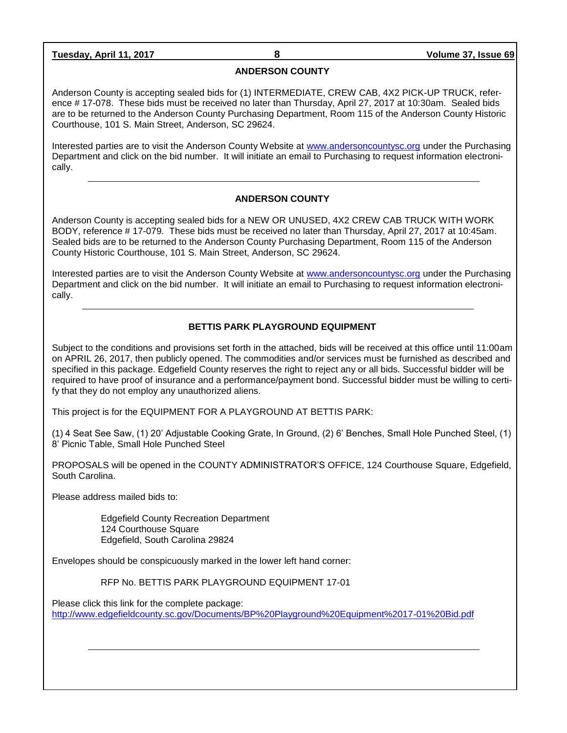**Tuesday, April 11, 2017 8 Volume 37, Issue 69**

#### **ANDERSON COUNTY**

Anderson County is accepting sealed bids for (1) INTERMEDIATE, CREW CAB, 4X2 PICK-UP TRUCK, reference # 17-078. These bids must be received no later than Thursday, April 27, 2017 at 10:30am. Sealed bids are to be returned to the Anderson County Purchasing Department, Room 115 of the Anderson County Historic Courthouse, 101 S. Main Street, Anderson, SC 29624.

Interested parties are to visit the Anderson County Website at [www.andersoncountysc.org](http://www.andersoncountysc.org/) under the Purchasing Department and click on the bid number. It will initiate an email to Purchasing to request information electronically.

#### **ANDERSON COUNTY**

Anderson County is accepting sealed bids for a NEW OR UNUSED, 4X2 CREW CAB TRUCK WITH WORK BODY, reference # 17-079. These bids must be received no later than Thursday, April 27, 2017 at 10:45am. Sealed bids are to be returned to the Anderson County Purchasing Department, Room 115 of the Anderson County Historic Courthouse, 101 S. Main Street, Anderson, SC 29624.

Interested parties are to visit the Anderson County Website at [www.andersoncountysc.org](http://www.andersoncountysc.org/) under the Purchasing Department and click on the bid number. It will initiate an email to Purchasing to request information electronically.

#### **BETTIS PARK PLAYGROUND EQUIPMENT**

Subject to the conditions and provisions set forth in the attached, bids will be received at this office until 11:00am on APRIL 26, 2017, then publicly opened. The commodities and/or services must be furnished as described and specified in this package. Edgefield County reserves the right to reject any or all bids. Successful bidder will be required to have proof of insurance and a performance/payment bond. Successful bidder must be willing to certify that they do not employ any unauthorized aliens.

This project is for the EQUIPMENT FOR A PLAYGROUND AT BETTIS PARK:

(1) 4 Seat See Saw, (1) 20' Adjustable Cooking Grate, In Ground, (2) 6' Benches, Small Hole Punched Steel, (1) 8' Picnic Table, Small Hole Punched Steel

PROPOSALS will be opened in the COUNTY ADMINISTRATOR'S OFFICE, 124 Courthouse Square, Edgefield, South Carolina.

Please address mailed bids to:

 Edgefield County Recreation Department 124 Courthouse Square Edgefield, South Carolina 29824

Envelopes should be conspicuously marked in the lower left hand corner:

RFP No. BETTIS PARK PLAYGROUND EQUIPMENT 17-01

Please click this link for the complete package: <http://www.edgefieldcounty.sc.gov/Documents/BP%20Playground%20Equipment%2017-01%20Bid.pdf>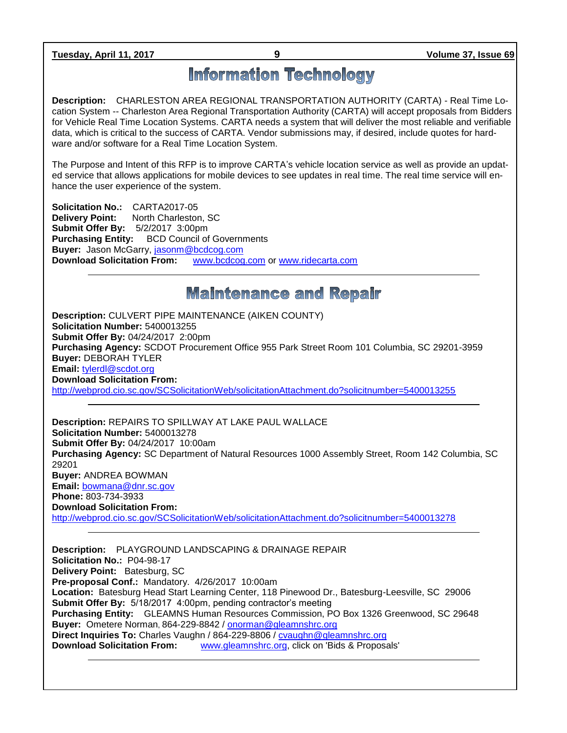**Tuesday, April 11, 2017 9 Volume 37, Issue 69**

# **Information Technology**

**Description:** CHARLESTON AREA REGIONAL TRANSPORTATION AUTHORITY (CARTA) - Real Time Location System -- Charleston Area Regional Transportation Authority (CARTA) will accept proposals from Bidders for Vehicle Real Time Location Systems. CARTA needs a system that will deliver the most reliable and verifiable data, which is critical to the success of CARTA. Vendor submissions may, if desired, include quotes for hardware and/or software for a Real Time Location System.

The Purpose and Intent of this RFP is to improve CARTA's vehicle location service as well as provide an updated service that allows applications for mobile devices to see updates in real time. The real time service will enhance the user experience of the system.

**Solicitation No.:** CARTA2017-05 **Delivery Point:** North Charleston, SC **Submit Offer By:** 5/2/2017 3:00pm **Purchasing Entity:** BCD Council of Governments **Buyer:** Jason McGarry, [jasonm@bcdcog.com](mailto:jasonm@bcdcog.com) **Download Solicitation From:** [www.bcdcog.com](http://www.bcdcog.com/) or [www.ridecarta.com](http://www.ridecarta.com/)

## **Maintenance and Repair**

**Description:** CULVERT PIPE MAINTENANCE (AIKEN COUNTY) **Solicitation Number:** 5400013255 **Submit Offer By:** 04/24/2017 2:00pm **Purchasing Agency:** SCDOT Procurement Office 955 Park Street Room 101 Columbia, SC 29201-3959 **Buyer:** DEBORAH TYLER **Email:** [tylerdl@scdot.org](mailto:tylerdl@scdot.org) **Download Solicitation From:**  <http://webprod.cio.sc.gov/SCSolicitationWeb/solicitationAttachment.do?solicitnumber=5400013255>

**Description:** REPAIRS TO SPILLWAY AT LAKE PAUL WALLACE **Solicitation Number:** 5400013278 **Submit Offer By:** 04/24/2017 10:00am **Purchasing Agency:** SC Department of Natural Resources 1000 Assembly Street, Room 142 Columbia, SC 29201 **Buyer:** ANDREA BOWMAN **Email:** [bowmana@dnr.sc.gov](mailto:bowmana@dnr.sc.gov) **Phone:** 803-734-3933 **Download Solicitation From:**  <http://webprod.cio.sc.gov/SCSolicitationWeb/solicitationAttachment.do?solicitnumber=5400013278>

**Description:** PLAYGROUND LANDSCAPING & DRAINAGE REPAIR **Solicitation No.:** P04-98-17 **Delivery Point:** Batesburg, SC **Pre-proposal Conf.:** Mandatory. 4/26/2017 10:00am **Location:** Batesburg Head Start Learning Center, 118 Pinewood Dr., Batesburg-Leesville, SC 29006 **Submit Offer By:** 5/18/2017 4:00pm, pending contractor's meeting **Purchasing Entity:** GLEAMNS Human Resources Commission, PO Box 1326 Greenwood, SC 29648 Buyer: Ometere Norman, 864-229-8842 / **onorman@gleamnshrc.org Direct Inquiries To:** Charles Vaughn / 864-229-8806 / [cvaughn@gleamnshrc.org](mailto:cvaughn@gleamnshrc.org) **Download Solicitation From:** [www.gleamnshrc.org,](http://www.gleamnshrc.org/) click on 'Bids & Proposals'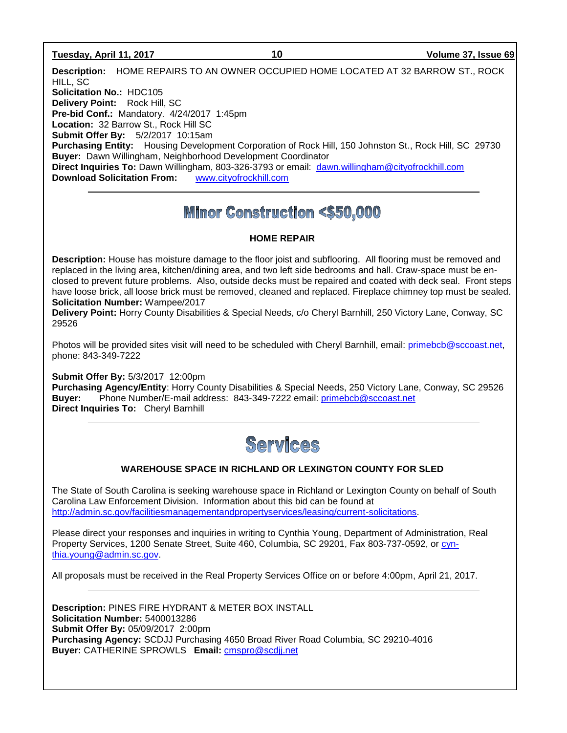#### **Tuesday, April 11, 2017 10 Volume 37, Issue 69**

**Description:** HOME REPAIRS TO AN OWNER OCCUPIED HOME LOCATED AT 32 BARROW ST., ROCK HILL, SC **Solicitation No.:** HDC105 **Delivery Point:** Rock Hill, SC **Pre-bid Conf.:** Mandatory. 4/24/2017 1:45pm **Location:** 32 Barrow St., Rock Hill SC **Submit Offer By:** 5/2/2017 10:15am **Purchasing Entity:** Housing Development Corporation of Rock Hill, 150 Johnston St., Rock Hill, SC 29730 **Buyer:** Dawn Willingham, Neighborhood Development Coordinator **Direct Inquiries To:** Dawn Willingham, 803-326-3793 or email: [dawn.willingham@cityofrockhill.com](mailto:dawn.willingham@cityofrockhill.com) **Download Solicitation From:** [www.cityofrockhill.com](http://www.cityofrockhill.com/)

# **Minor Construction <\$50,000**

#### **HOME REPAIR**

**Description:** House has moisture damage to the floor joist and subflooring. All flooring must be removed and replaced in the living area, kitchen/dining area, and two left side bedrooms and hall. Craw-space must be enclosed to prevent future problems. Also, outside decks must be repaired and coated with deck seal. Front steps have loose brick, all loose brick must be removed, cleaned and replaced. Fireplace chimney top must be sealed. **Solicitation Number:** Wampee/2017

**Delivery Point:** Horry County Disabilities & Special Needs, c/o Cheryl Barnhill, 250 Victory Lane, Conway, SC 29526

Photos will be provided sites visit will need to be scheduled with Cheryl Barnhill, email: [primebcb@sccoast.net,](mailto:primebcb@sccoast.net) phone: 843-349-7222

**Submit Offer By:** 5/3/2017 12:00pm **Purchasing Agency/Entity**: Horry County Disabilities & Special Needs, 250 Victory Lane, Conway, SC 29526 **Buyer:** Phone Number/E-mail address: 843-349-7222 email: [primebcb@sccoast.net](mailto:primebcb@sccoast.net) **Direct Inquiries To:** Cheryl Barnhill



#### **WAREHOUSE SPACE IN RICHLAND OR LEXINGTON COUNTY FOR SLED**

The State of South Carolina is seeking warehouse space in Richland or Lexington County on behalf of South Carolina Law Enforcement Division. Information about this bid can be found at [http://admin.sc.gov/facilitiesmanagementandpropertyservices/leasing/current-solicitations.](http://admin.sc.gov/facilitiesmanagementandpropertyservices/leasing/current-solicitations)

Please direct your responses and inquiries in writing to Cynthia Young, Department of Administration, Real Property Services, 1200 Senate Street, Suite 460, Columbia, SC 29201, Fax 803-737-0592, or [cyn](mailto:cynthia.young@admin.sc.gov)[thia.young@admin.sc.gov.](mailto:cynthia.young@admin.sc.gov)

All proposals must be received in the Real Property Services Office on or before 4:00pm, April 21, 2017.

**Description:** PINES FIRE HYDRANT & METER BOX INSTALL **Solicitation Number:** 5400013286 **Submit Offer By:** 05/09/2017 2:00pm **Purchasing Agency:** SCDJJ Purchasing 4650 Broad River Road Columbia, SC 29210-4016 **Buyer:** CATHERINE SPROWLS **Email:** [cmspro@scdjj.net](mailto:cmspro@scdjj.net)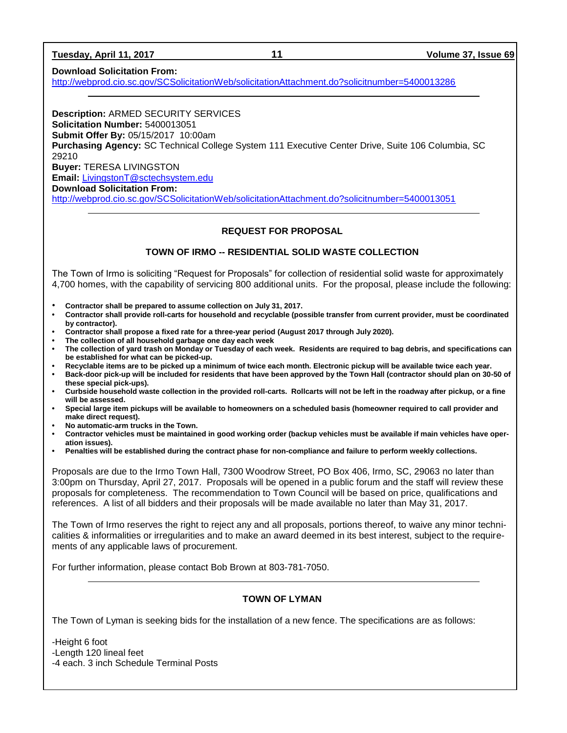| Tuesday, April 11, 2017 |  |  |
|-------------------------|--|--|
|-------------------------|--|--|

#### **Download Solicitation From:**

<http://webprod.cio.sc.gov/SCSolicitationWeb/solicitationAttachment.do?solicitnumber=5400013286>

**Description:** ARMED SECURITY SERVICES **Solicitation Number:** 5400013051 **Submit Offer By:** 05/15/2017 10:00am **Purchasing Agency:** SC Technical College System 111 Executive Center Drive, Suite 106 Columbia, SC 29210 **Buyer:** TERESA LIVINGSTON **Email:** [LivingstonT@sctechsystem.edu](mailto:LivingstonT@sctechsystem.edu) **Download Solicitation From:** 

<http://webprod.cio.sc.gov/SCSolicitationWeb/solicitationAttachment.do?solicitnumber=5400013051>

#### **REQUEST FOR PROPOSAL**

#### **TOWN OF IRMO -- RESIDENTIAL SOLID WASTE COLLECTION**

The Town of Irmo is soliciting "Request for Proposals" for collection of residential solid waste for approximately 4,700 homes, with the capability of servicing 800 additional units. For the proposal, please include the following:

- **Contractor shall be prepared to assume collection on July 31, 2017.**
- **• Contractor shall provide roll-carts for household and recyclable (possible transfer from current provider, must be coordinated by contractor).**
- **• Contractor shall propose a fixed rate for a three-year period (August 2017 through July 2020).**
- **• The collection of all household garbage one day each week**
- **• The collection of yard trash on Monday or Tuesday of each week. Residents are required to bag debris, and specifications can be established for what can be picked-up.**
- **• Recyclable items are to be picked up a minimum of twice each month. Electronic pickup will be available twice each year.**
- **• Back-door pick-up will be included for residents that have been approved by the Town Hall (contractor should plan on 30-50 of these special pick-ups).**
- **• Curbside household waste collection in the provided roll-carts. Rollcarts will not be left in the roadway after pickup, or a fine will be assessed.**
- **• Special large item pickups will be available to homeowners on a scheduled basis (homeowner required to call provider and make direct request).**
- **• No automatic-arm trucks in the Town.**
- **• Contractor vehicles must be maintained in good working order (backup vehicles must be available if main vehicles have operation issues).**
- **• Penalties will be established during the contract phase for non-compliance and failure to perform weekly collections.**

Proposals are due to the Irmo Town Hall, 7300 Woodrow Street, PO Box 406, Irmo, SC, 29063 no later than 3:00pm on Thursday, April 27, 2017. Proposals will be opened in a public forum and the staff will review these proposals for completeness. The recommendation to Town Council will be based on price, qualifications and references. A list of all bidders and their proposals will be made available no later than May 31, 2017.

The Town of Irmo reserves the right to reject any and all proposals, portions thereof, to waive any minor technicalities & informalities or irregularities and to make an award deemed in its best interest, subject to the requirements of any applicable laws of procurement.

For further information, please contact Bob Brown at 803-781-7050.

#### **TOWN OF LYMAN**

The Town of Lyman is seeking bids for the installation of a new fence. The specifications are as follows:

-Height 6 foot -Length 120 lineal feet -4 each. 3 inch Schedule Terminal Posts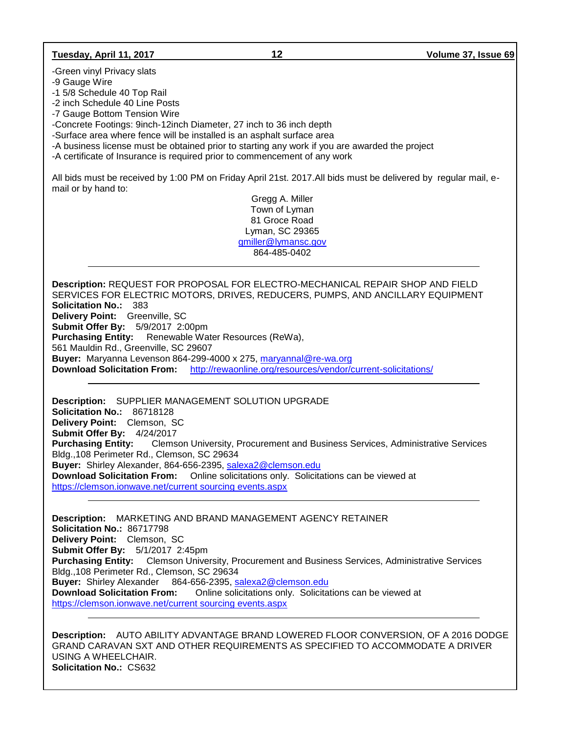#### **Tuesday, April 11, 2017 12 Volume 37, Issue 69**

-Green vinyl Privacy slats

-9 Gauge Wire

-1 5/8 Schedule 40 Top Rail

-2 inch Schedule 40 Line Posts

-7 Gauge Bottom Tension Wire

-Concrete Footings: 9inch-12inch Diameter, 27 inch to 36 inch depth

-Surface area where fence will be installed is an asphalt surface area

-A business license must be obtained prior to starting any work if you are awarded the project

-A certificate of Insurance is required prior to commencement of any work

All bids must be received by 1:00 PM on Friday April 21st. 2017.All bids must be delivered by regular mail, email or by hand to:

> Gregg A. Miller Town of Lyman 81 Groce Road Lyman, SC 29365 [gmiller@lymansc.gov](mailto:gmiller@lymansc.gov) 864-485-0402

**Description:** REQUEST FOR PROPOSAL FOR ELECTRO-MECHANICAL REPAIR SHOP AND FIELD SERVICES FOR ELECTRIC MOTORS, DRIVES, REDUCERS, PUMPS, AND ANCILLARY EQUIPMENT **Solicitation No.:** 383 **Delivery Point:** Greenville, SC **Submit Offer By:** 5/9/2017 2:00pm **Purchasing Entity:** Renewable Water Resources (ReWa), 561 Mauldin Rd., Greenville, SC 29607 **Buyer:** Maryanna Levenson 864-299-4000 x 275, [maryannal@re-wa.org](mailto:maryannal@re-wa.org) **Download Solicitation From:** <http://rewaonline.org/resources/vendor/current-solicitations/>

**Description:** SUPPLIER MANAGEMENT SOLUTION UPGRADE **Solicitation No.:** 86718128 **Delivery Point:** Clemson, SC **Submit Offer By:** 4/24/2017 **Purchasing Entity:** Clemson University, Procurement and Business Services, Administrative Services Bldg.,108 Perimeter Rd., Clemson, SC 29634 **Buyer:** Shirley Alexander, 864-656-2395, [salexa2@clemson.edu](mailto:salexa2@clemson.edu) **Download Solicitation From:** Online solicitations only. Solicitations can be viewed at [https://clemson.ionwave.net/current sourcing events.aspx](https://clemson.ionwave.net/current%20sourcing%20events.aspx)

**Description:** MARKETING AND BRAND MANAGEMENT AGENCY RETAINER **Solicitation No.:** 86717798 **Delivery Point:** Clemson, SC **Submit Offer By:** 5/1/2017 2:45pm **Purchasing Entity:** Clemson University, Procurement and Business Services, Administrative Services Bldg.,108 Perimeter Rd., Clemson, SC 29634 **Buyer:** Shirley Alexander 864-656-2395, [salexa2@clemson.edu](mailto:salexa2@clemson.edu) **Download Solicitation From:** Online solicitations only. Solicitations can be viewed at [https://clemson.ionwave.net/current sourcing events.aspx](https://clemson.ionwave.net/current%20sourcing%20events.aspx)

**Description:** AUTO ABILITY ADVANTAGE BRAND LOWERED FLOOR CONVERSION, OF A 2016 DODGE GRAND CARAVAN SXT AND OTHER REQUIREMENTS AS SPECIFIED TO ACCOMMODATE A DRIVER USING A WHEELCHAIR. **Solicitation No.:** CS632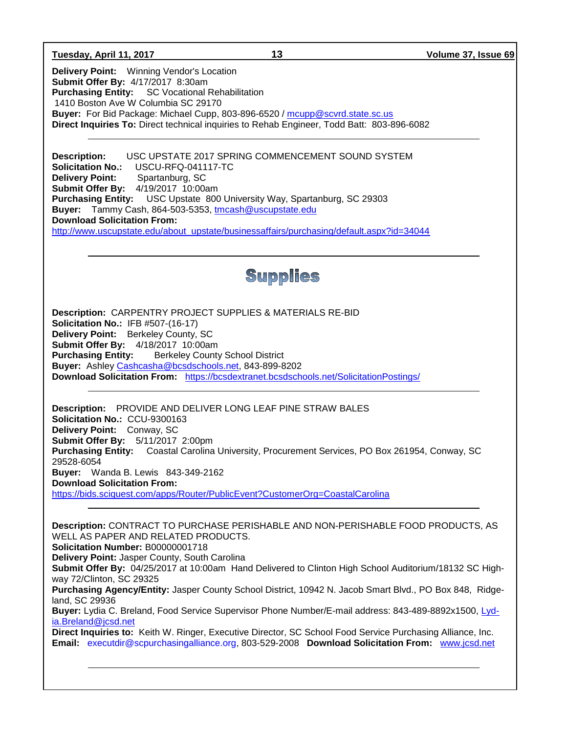**Tuesday, April 11, 2017 13 Volume 37, Issue 69**

**Delivery Point:** Winning Vendor's Location **Submit Offer By:** 4/17/2017 8:30am **Purchasing Entity:** SC Vocational Rehabilitation 1410 Boston Ave W Columbia SC 29170 **Buyer:** For Bid Package: Michael Cupp, 803-896-6520 / [mcupp@scvrd.state.sc.us](mailto:mcupp@scvrd.state.sc.us) **Direct Inquiries To:** Direct technical inquiries to Rehab Engineer, Todd Batt: 803-896-6082

**Description:** USC UPSTATE 2017 SPRING COMMENCEMENT SOUND SYSTEM **Solicitation No.:** USCU-RFQ-041117-TC **Delivery Point:** Spartanburg, SC **Submit Offer By:** 4/19/2017 10:00am **Purchasing Entity:** USC Upstate 800 University Way, Spartanburg, SC 29303 **Buyer:** Tammy Cash, 864-503-5353, [tmcash@uscupstate.edu](mailto:tmcash@uscupstate.edu) **Download Solicitation From:** [http://www.uscupstate.edu/about\\_upstate/businessaffairs/purchasing/default.aspx?id=34044](http://www.uscupstate.edu/about_upstate/businessaffairs/purchasing/default.aspx?id=34044)

# Supplies

**Description:** CARPENTRY PROJECT SUPPLIES & MATERIALS RE-BID **Solicitation No.:** IFB #507-(16-17) **Delivery Point:** Berkeley County, SC **Submit Offer By:** 4/18/2017 10:00am **Purchasing Entity:** Berkeley County School District **Buyer:** Ashley [Cashcasha@bcsdschools.net,](mailto:Cashcasha@bcsdschools.net) 843-899-8202 **Download Solicitation From:** <https://bcsdextranet.bcsdschools.net/SolicitationPostings/>

**Description:** PROVIDE AND DELIVER LONG LEAF PINE STRAW BALES **Solicitation No.:** CCU-9300163 **Delivery Point:** Conway, SC **Submit Offer By:** 5/11/2017 2:00pm **Purchasing Entity:** Coastal Carolina University, Procurement Services, PO Box 261954, Conway, SC 29528-6054 **Buyer:** Wanda B. Lewis 843-349-2162 **Download Solicitation From:** <https://bids.sciquest.com/apps/Router/PublicEvent?CustomerOrg=CoastalCarolina>

**Description:** CONTRACT TO PURCHASE PERISHABLE AND NON-PERISHABLE FOOD PRODUCTS, AS WELL AS PAPER AND RELATED PRODUCTS. **Solicitation Number:** B00000001718 **Delivery Point:** Jasper County, South Carolina **Submit Offer By:** 04/25/2017 at 10:00am Hand Delivered to Clinton High School Auditorium/18132 SC Highway 72/Clinton, SC 29325 **Purchasing Agency/Entity:** Jasper County School District, 10942 N. Jacob Smart Blvd., PO Box 848, Ridgeland, SC 29936 **Buyer:** Lydia C. Breland, Food Service Supervisor Phone Number/E-mail address: 843-489-8892x1500, [Lyd](mailto:Lydia.Breland@jcsd.net)[ia.Breland@jcsd.net](mailto:Lydia.Breland@jcsd.net) **Direct Inquiries to:** Keith W. Ringer, Executive Director, SC School Food Service Purchasing Alliance, Inc. **Email:** [executdir@scpurchasingalliance.org,](mailto:executdir@scpurchasingalliance.org) 803-529-2008 **Download Solicitation From:** [www.jcsd.net](http://www.jcsd.net/)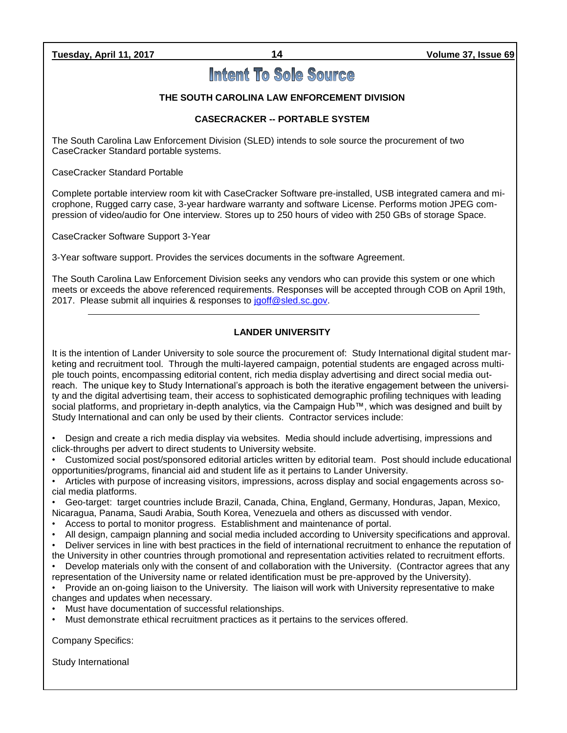# **Intent To Sole Source**

#### **THE SOUTH CAROLINA LAW ENFORCEMENT DIVISION**

### **CASECRACKER -- PORTABLE SYSTEM**

The South Carolina Law Enforcement Division (SLED) intends to sole source the procurement of two CaseCracker Standard portable systems.

CaseCracker Standard Portable

Complete portable interview room kit with CaseCracker Software pre-installed, USB integrated camera and microphone, Rugged carry case, 3-year hardware warranty and software License. Performs motion JPEG compression of video/audio for One interview. Stores up to 250 hours of video with 250 GBs of storage Space.

CaseCracker Software Support 3-Year

3-Year software support. Provides the services documents in the software Agreement.

The South Carolina Law Enforcement Division seeks any vendors who can provide this system or one which meets or exceeds the above referenced requirements. Responses will be accepted through COB on April 19th, 2017. Please submit all inquiries & responses to [jgoff@sled.sc.gov.](mailto:jgoff@sled.sc.gov)

#### **LANDER UNIVERSITY**

It is the intention of Lander University to sole source the procurement of: Study International digital student marketing and recruitment tool. Through the multi-layered campaign, potential students are engaged across multiple touch points, encompassing editorial content, rich media display advertising and direct social media outreach. The unique key to Study International's approach is both the iterative engagement between the university and the digital advertising team, their access to sophisticated demographic profiling techniques with leading social platforms, and proprietary in-depth analytics, via the Campaign Hub™, which was designed and built by Study International and can only be used by their clients. Contractor services include:

• Design and create a rich media display via websites. Media should include advertising, impressions and click-throughs per advert to direct students to University website.

• Customized social post/sponsored editorial articles written by editorial team. Post should include educational opportunities/programs, financial aid and student life as it pertains to Lander University.

• Articles with purpose of increasing visitors, impressions, across display and social engagements across social media platforms.

• Geo-target: target countries include Brazil, Canada, China, England, Germany, Honduras, Japan, Mexico, Nicaragua, Panama, Saudi Arabia, South Korea, Venezuela and others as discussed with vendor.

- Access to portal to monitor progress. Establishment and maintenance of portal.
- All design, campaign planning and social media included according to University specifications and approval.
- Deliver services in line with best practices in the field of international recruitment to enhance the reputation of the University in other countries through promotional and representation activities related to recruitment efforts.
- Develop materials only with the consent of and collaboration with the University. (Contractor agrees that any representation of the University name or related identification must be pre-approved by the University).

• Provide an on-going liaison to the University. The liaison will work with University representative to make changes and updates when necessary.

- Must have documentation of successful relationships.
- Must demonstrate ethical recruitment practices as it pertains to the services offered.

Company Specifics:

Study International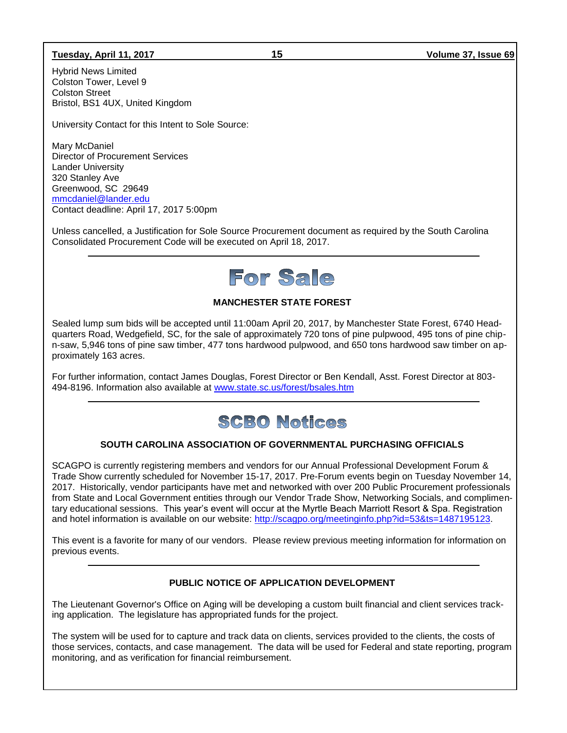#### **Tuesday, April 11, 2017 15 Volume 37, Issue 69**

Hybrid News Limited Colston Tower, Level 9 Colston Street Bristol, BS1 4UX, United Kingdom

University Contact for this Intent to Sole Source:

Mary McDaniel Director of Procurement Services Lander University 320 Stanley Ave Greenwood, SC 29649 [mmcdaniel@lander.edu](mailto:mmcdaniel@lander.edu) Contact deadline: April 17, 2017 5:00pm

Unless cancelled, a Justification for Sole Source Procurement document as required by the South Carolina Consolidated Procurement Code will be executed on April 18, 2017.

# For Sale

## **MANCHESTER STATE FOREST**

Sealed lump sum bids will be accepted until 11:00am April 20, 2017, by Manchester State Forest, 6740 Headquarters Road, Wedgefield, SC, for the sale of approximately 720 tons of pine pulpwood, 495 tons of pine chipn-saw, 5,946 tons of pine saw timber, 477 tons hardwood pulpwood, and 650 tons hardwood saw timber on approximately 163 acres.

For further information, contact James Douglas, Forest Director or Ben Kendall, Asst. Forest Director at 803- 494-8196. Information also available at [www.state.sc.us/forest/bsales.htm](http://www.state.sc.us/forest/bsales.htm)

# **SCBO Notices**

#### **SOUTH CAROLINA ASSOCIATION OF GOVERNMENTAL PURCHASING OFFICIALS**

SCAGPO is currently registering members and vendors for our Annual Professional Development Forum & Trade Show currently scheduled for November 15-17, 2017. Pre-Forum events begin on Tuesday November 14, 2017. Historically, vendor participants have met and networked with over 200 Public Procurement professionals from State and Local Government entities through our Vendor Trade Show, Networking Socials, and complimentary educational sessions. This year's event will occur at the Myrtle Beach Marriott Resort & Spa. Registration and hotel information is available on our website: [http://scagpo.org/meetinginfo.php?id=53&ts=1487195123.](http://scagpo.org/meetinginfo.php?id=53&ts=1487195123)

This event is a favorite for many of our vendors. Please review previous meeting information for information on previous events.

#### **PUBLIC NOTICE OF APPLICATION DEVELOPMENT**

The Lieutenant Governor's Office on Aging will be developing a custom built financial and client services tracking application. The legislature has appropriated funds for the project.

The system will be used for to capture and track data on clients, services provided to the clients, the costs of those services, contacts, and case management. The data will be used for Federal and state reporting, program monitoring, and as verification for financial reimbursement.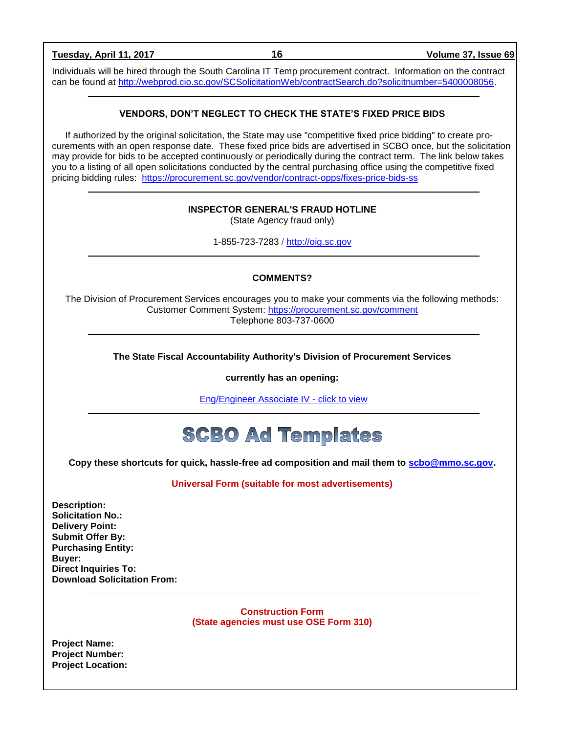| Tuesday, April 11, 2017                                                                                                                                                                                          | 16                                                                                                                                                                                                                                                                                                                                                                                                                                                                                                                                                                     | Volume 37, Issue 69 |
|------------------------------------------------------------------------------------------------------------------------------------------------------------------------------------------------------------------|------------------------------------------------------------------------------------------------------------------------------------------------------------------------------------------------------------------------------------------------------------------------------------------------------------------------------------------------------------------------------------------------------------------------------------------------------------------------------------------------------------------------------------------------------------------------|---------------------|
|                                                                                                                                                                                                                  | Individuals will be hired through the South Carolina IT Temp procurement contract. Information on the contract<br>can be found at http://webprod.cio.sc.gov/SCSolicitationWeb/contractSearch.do?solicitnumber=5400008056.                                                                                                                                                                                                                                                                                                                                              |                     |
|                                                                                                                                                                                                                  | <b>VENDORS, DON'T NEGLECT TO CHECK THE STATE'S FIXED PRICE BIDS</b>                                                                                                                                                                                                                                                                                                                                                                                                                                                                                                    |                     |
|                                                                                                                                                                                                                  | If authorized by the original solicitation, the State may use "competitive fixed price bidding" to create pro-<br>curements with an open response date. These fixed price bids are advertised in SCBO once, but the solicitation<br>may provide for bids to be accepted continuously or periodically during the contract term. The link below takes<br>you to a listing of all open solicitations conducted by the central purchasing office using the competitive fixed<br>pricing bidding rules: https://procurement.sc.gov/vendor/contract-opps/fixes-price-bids-ss |                     |
|                                                                                                                                                                                                                  | <b>INSPECTOR GENERAL'S FRAUD HOTLINE</b><br>(State Agency fraud only)                                                                                                                                                                                                                                                                                                                                                                                                                                                                                                  |                     |
|                                                                                                                                                                                                                  | 1-855-723-7283 / http://oig.sc.gov                                                                                                                                                                                                                                                                                                                                                                                                                                                                                                                                     |                     |
|                                                                                                                                                                                                                  | <b>COMMENTS?</b>                                                                                                                                                                                                                                                                                                                                                                                                                                                                                                                                                       |                     |
|                                                                                                                                                                                                                  | The Division of Procurement Services encourages you to make your comments via the following methods:<br>Customer Comment System: https://procurement.sc.gov/comment<br>Telephone 803-737-0600                                                                                                                                                                                                                                                                                                                                                                          |                     |
|                                                                                                                                                                                                                  | The State Fiscal Accountability Authority's Division of Procurement Services                                                                                                                                                                                                                                                                                                                                                                                                                                                                                           |                     |
|                                                                                                                                                                                                                  | currently has an opening:                                                                                                                                                                                                                                                                                                                                                                                                                                                                                                                                              |                     |
|                                                                                                                                                                                                                  | Eng/Engineer Associate IV - click to view                                                                                                                                                                                                                                                                                                                                                                                                                                                                                                                              |                     |
|                                                                                                                                                                                                                  | <b>SCBO Ad Templates</b>                                                                                                                                                                                                                                                                                                                                                                                                                                                                                                                                               |                     |
|                                                                                                                                                                                                                  | Copy these shortcuts for quick, hassle-free ad composition and mail them to scbo@mmo.sc.gov.                                                                                                                                                                                                                                                                                                                                                                                                                                                                           |                     |
|                                                                                                                                                                                                                  | <b>Universal Form (suitable for most advertisements)</b>                                                                                                                                                                                                                                                                                                                                                                                                                                                                                                               |                     |
| <b>Description:</b><br><b>Solicitation No.:</b><br><b>Delivery Point:</b><br><b>Submit Offer By:</b><br><b>Purchasing Entity:</b><br>Buyer:<br><b>Direct Inquiries To:</b><br><b>Download Solicitation From:</b> |                                                                                                                                                                                                                                                                                                                                                                                                                                                                                                                                                                        |                     |
|                                                                                                                                                                                                                  | <b>Construction Form</b><br>(State agencies must use OSE Form 310)                                                                                                                                                                                                                                                                                                                                                                                                                                                                                                     |                     |
| <b>Project Name:</b><br><b>Project Number:</b><br><b>Project Location:</b>                                                                                                                                       |                                                                                                                                                                                                                                                                                                                                                                                                                                                                                                                                                                        |                     |

٦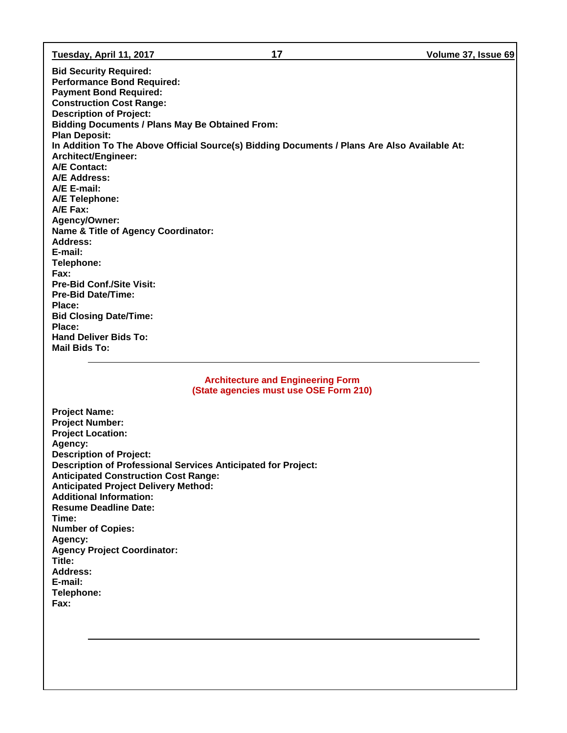**Tuesday, April 11, 2017 17 Volume 37, Issue 69**

**Bid Security Required: Performance Bond Required: Payment Bond Required: Construction Cost Range: Description of Project: Bidding Documents / Plans May Be Obtained From: Plan Deposit: In Addition To The Above Official Source(s) Bidding Documents / Plans Are Also Available At: Architect/Engineer: A/E Contact: A/E Address: A/E E-mail: A/E Telephone: A/E Fax: Agency/Owner: Name & Title of Agency Coordinator: Address: E-mail: Telephone: Fax: Pre-Bid Conf./Site Visit: Pre-Bid Date/Time: Place: Bid Closing Date/Time: Place: Hand Deliver Bids To: Mail Bids To:**

> **Architecture and Engineering Form (State agencies must use OSE Form 210)**

**Project Name: Project Number: Project Location: Agency: Description of Project: Description of Professional Services Anticipated for Project: Anticipated Construction Cost Range: Anticipated Project Delivery Method: Additional Information: Resume Deadline Date: Time: Number of Copies: Agency: Agency Project Coordinator: Title: Address: E-mail: Telephone: Fax:**